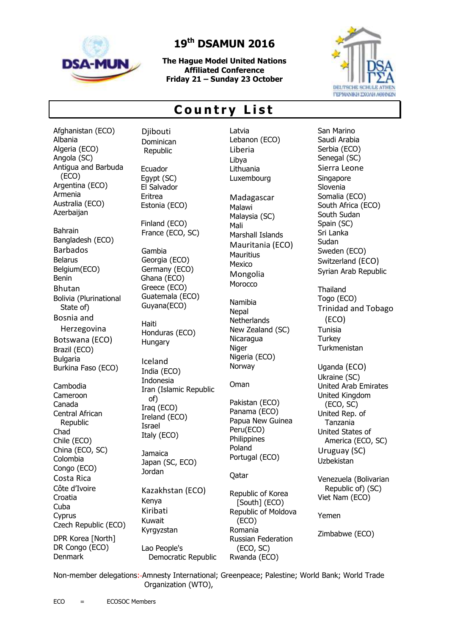

Afghanistan (ECO)

## **19 th DSAMUN 2016**

**The Hague Model United Nations Affiliated Conference Friday 21 – Sunday 23 October**



## **C o u n t r y L i s t**

Albania Algeria (ECO) Angola (SC) Antigua and Barbuda (ECO) Argentina (ECO) Armenia Australia (ECO) Azerbaijan Bahrain Bangladesh (ECO) Barbados Belarus Belgium(ECO) Benin Bhutan Bolivia (Plurinational State of) Bosnia and Herzegovina Botswana (ECO) Brazil (ECO) Bulgaria Burkina Faso (ECO) Cambodia Cameroon Canada Central African Republic Chad Chile (ECO) China (ECO, SC) Colombia Congo (ECO)

Costa Rica Côte d'Ivoire Croatia Cuba Cyprus

Denmark

Czech Republic (ECO) DPR Korea [North] DR Congo (ECO)

**Diibouti** Dominican Republic

Ecuador Egypt (SC) El Salvador Eritrea Estonia (ECO)

Finland (ECO) France (ECO, SC)

Gambia Georgia (ECO) Germany (ECO) Ghana (ECO) Greece (ECO) Guatemala (ECO) Guyana(ECO)

Haiti Honduras (ECO) **Hungary** 

Iceland India (ECO) Indonesia Iran [\(Islamic Republic](javascript:showhideinfo()  [of\)](javascript:showhideinfo() Iraq (ECO) Ireland (ECO) Israel Italy (ECO)

**Jamaica** Japan (SC, ECO) Jordan

Kazakhstan (ECO) Kenya Kiribati Kuwait Kyrgyzstan Lao People's Democratic Republic Latvia Lebanon (ECO) Liberia Libya Lithuania Luxembourg Madagascar

Malawi Malaysia (SC) Mali Marshall Islands Mauritania (ECO) **Mauritius** Mexico Mongolia **Morocco** 

Namibia **Nepal Netherlands** New Zealand (SC) Nicaragua Niger Nigeria (ECO) Norway

Oman

Pakistan (ECO) Panama (ECO) Papua New Guinea Peru(ECO) Philippines Poland Portugal (ECO)

Qatar

Republic of Korea [South] (ECO) Republic of Moldova (ECO) Romania Russian Federation (ECO, SC) Rwanda (ECO)

San Marino Saudi Arabia Serbia (ECO) Senegal (SC) Sierra Leone **Singapore** Slovenia Somalia (ECO) South Africa (ECO) South Sudan Spain (SC) Sri Lanka **Sudan** Sweden (ECO) Switzerland (ECO) Syrian Arab Republic Thailand Togo (ECO) Trinidad and Tobago (ECO) Tunisia **Turkey Turkmenistan** Uganda (ECO) Ukraine (SC) United Arab Emirates United Kingdom (ECO, SC) United Rep. of Tanzania United States of America (ECO, SC) Uruguay (SC) Uzbekistan Venezuela (Bolivarian Republic of) (SC) Viet Nam (ECO)

Yemen

Zimbabwe (ECO)

Non-member delegations: Amnesty International; Greenpeace; Palestine; World Bank; World Trade Organization (WTO),